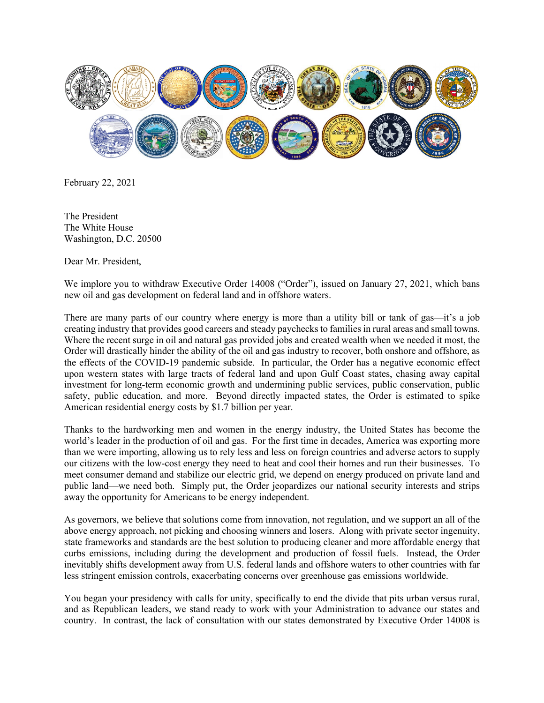

February 22, 2021

The President The White House Washington, D.C. 20500

Dear Mr. President,

We implore you to withdraw Executive Order 14008 ("Order"), issued on January 27, 2021, which bans new oil and gas development on federal land and in offshore waters.

There are many parts of our country where energy is more than a utility bill or tank of gas—it's a job creating industry that provides good careers and steady paychecks to families in rural areas and small towns. Where the recent surge in oil and natural gas provided jobs and created wealth when we needed it most, the Order will drastically hinder the ability of the oil and gas industry to recover, both onshore and offshore, as the effects of the COVID-19 pandemic subside. In particular, the Order has a negative economic effect upon western states with large tracts of federal land and upon Gulf Coast states, chasing away capital investment for long-term economic growth and undermining public services, public conservation, public safety, public education, and more. Beyond directly impacted states, the Order is estimated to spike American residential energy costs by \$1.7 billion per year.

Thanks to the hardworking men and women in the energy industry, the United States has become the world's leader in the production of oil and gas. For the first time in decades, America was exporting more than we were importing, allowing us to rely less and less on foreign countries and adverse actors to supply our citizens with the low-cost energy they need to heat and cool their homes and run their businesses. To meet consumer demand and stabilize our electric grid, we depend on energy produced on private land and public land—we need both. Simply put, the Order jeopardizes our national security interests and strips away the opportunity for Americans to be energy independent.

As governors, we believe that solutions come from innovation, not regulation, and we support an all of the above energy approach, not picking and choosing winners and losers. Along with private sector ingenuity, state frameworks and standards are the best solution to producing cleaner and more affordable energy that curbs emissions, including during the development and production of fossil fuels. Instead, the Order inevitably shifts development away from U.S. federal lands and offshore waters to other countries with far less stringent emission controls, exacerbating concerns over greenhouse gas emissions worldwide.

You began your presidency with calls for unity, specifically to end the divide that pits urban versus rural, and as Republican leaders, we stand ready to work with your Administration to advance our states and country. In contrast, the lack of consultation with our states demonstrated by Executive Order 14008 is